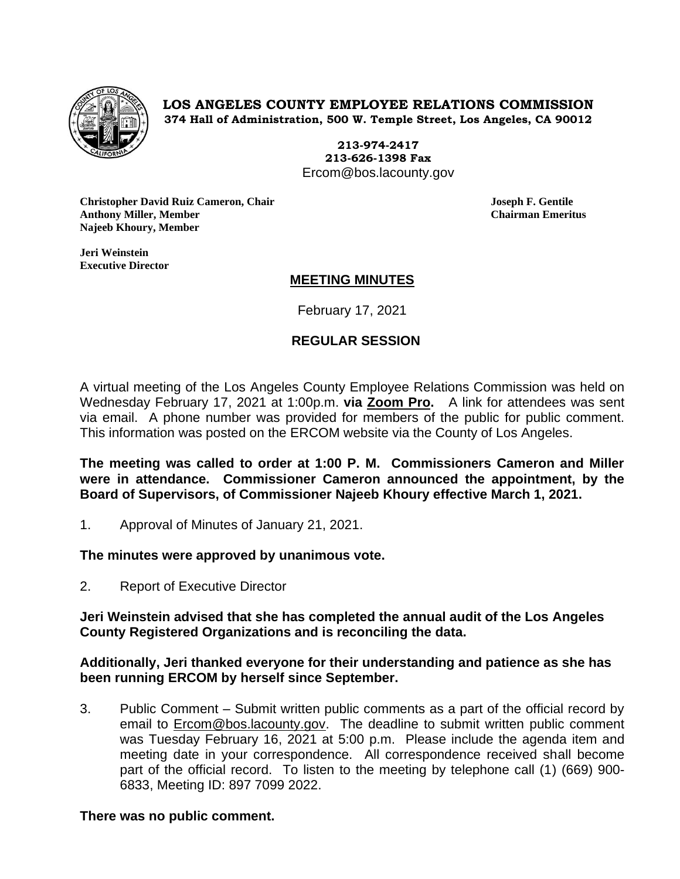

**LOS ANGELES COUNTY EMPLOYEE RELATIONS COMMISSION 374 Hall of Administration, 500 W. Temple Street, Los Angeles, CA 90012**

> **213-974-2417 213-626-1398 Fax** Ercom@bos.lacounty.gov

**Christopher David Ruiz Cameron, Chair Joseph F. Gentile Anthony Miller, Member Chairman Emeritus Najeeb Khoury, Member** 

**Jeri Weinstein Executive Director** 

# **MEETING MINUTES**

February 17, 2021

# **REGULAR SESSION**

A virtual meeting of the Los Angeles County Employee Relations Commission was held on Wednesday February 17, 2021 at 1:00p.m. **via Zoom Pro.** A link for attendees was sent via email. A phone number was provided for members of the public for public comment. This information was posted on the ERCOM website via the County of Los Angeles.

**The meeting was called to order at 1:00 P. M. Commissioners Cameron and Miller were in attendance. Commissioner Cameron announced the appointment, by the Board of Supervisors, of Commissioner Najeeb Khoury effective March 1, 2021.**

1. Approval of Minutes of January 21, 2021.

**The minutes were approved by unanimous vote.**

2. Report of Executive Director

**Jeri Weinstein advised that she has completed the annual audit of the Los Angeles County Registered Organizations and is reconciling the data.**

**Additionally, Jeri thanked everyone for their understanding and patience as she has been running ERCOM by herself since September.** 

3. Public Comment – Submit written public comments as a part of the official record by email to [Ercom@bos.lacounty.gov.](mailto:Ercom@bos.lacounty.gov) The deadline to submit written public comment was Tuesday February 16, 2021 at 5:00 p.m. Please include the agenda item and meeting date in your correspondence. All correspondence received shall become part of the official record. To listen to the meeting by telephone call (1) (669) 900- 6833, Meeting ID: 897 7099 2022.

# **There was no public comment.**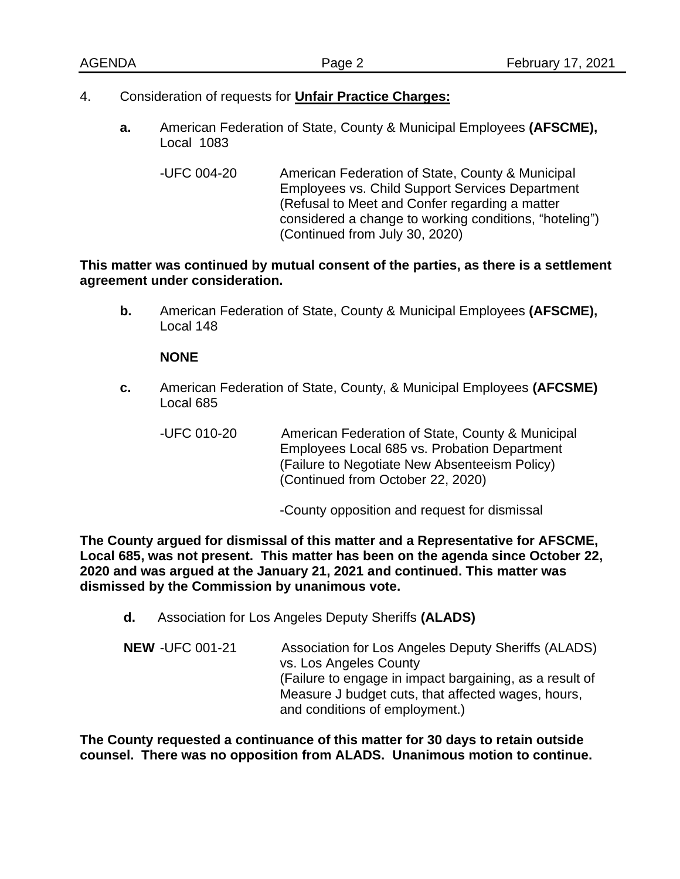- 4. Consideration of requests for **Unfair Practice Charges:**
	- **a.** American Federation of State, County & Municipal Employees **(AFSCME),**  Local 1083
		- -UFC 004-20 American Federation of State, County & Municipal Employees vs. Child Support Services Department (Refusal to Meet and Confer regarding a matter considered a change to working conditions, "hoteling") (Continued from July 30, 2020)

### **This matter was continued by mutual consent of the parties, as there is a settlement agreement under consideration.**

**b.** American Federation of State, County & Municipal Employees **(AFSCME),** Local 148

### **NONE**

- **c.** American Federation of State, County, & Municipal Employees **(AFCSME)** Local 685
	- -UFC 010-20 American Federation of State, County & Municipal Employees Local 685 vs. Probation Department (Failure to Negotiate New Absenteeism Policy) (Continued from October 22, 2020)

-County opposition and request for dismissal

**The County argued for dismissal of this matter and a Representative for AFSCME, Local 685, was not present. This matter has been on the agenda since October 22, 2020 and was argued at the January 21, 2021 and continued. This matter was dismissed by the Commission by unanimous vote.** 

- **d.** Association for Los Angeles Deputy Sheriffs **(ALADS)**
- **NEW** -UFC 001-21 Association for Los Angeles Deputy Sheriffs (ALADS) vs. Los Angeles County (Failure to engage in impact bargaining, as a result of Measure J budget cuts, that affected wages, hours, and conditions of employment.)

**The County requested a continuance of this matter for 30 days to retain outside counsel. There was no opposition from ALADS. Unanimous motion to continue.**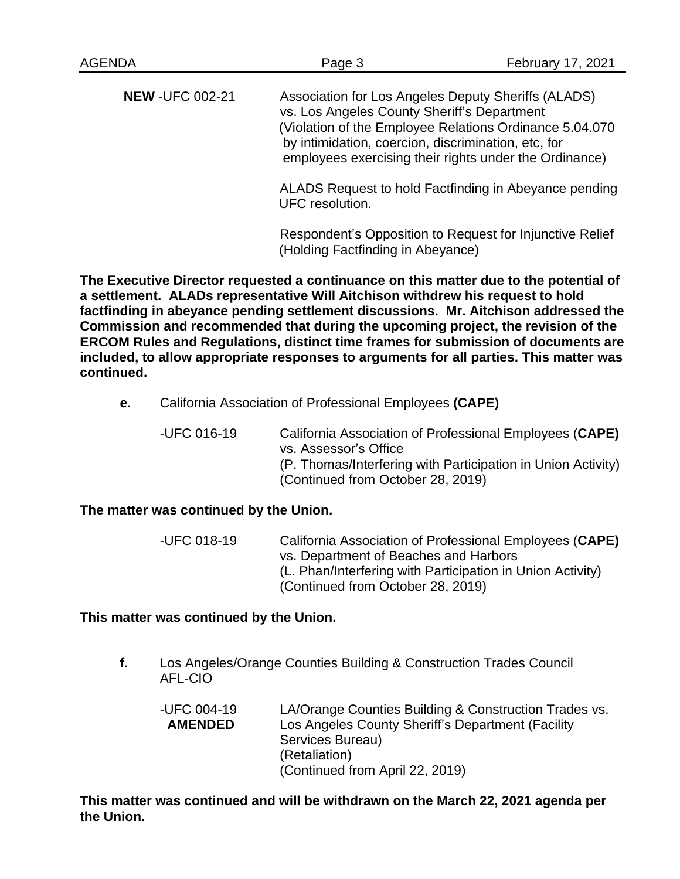**NEW** -UFC 002-21 Association for Los Angeles Deputy Sheriffs (ALADS) vs. Los Angeles County Sheriff's Department (Violation of the Employee Relations Ordinance 5.04.070 by intimidation, coercion, discrimination, etc, for employees exercising their rights under the Ordinance)

> ALADS Request to hold Factfinding in Abeyance pending UFC resolution.

Respondent's Opposition to Request for Injunctive Relief (Holding Factfinding in Abeyance)

**The Executive Director requested a continuance on this matter due to the potential of a settlement. ALADs representative Will Aitchison withdrew his request to hold factfinding in abeyance pending settlement discussions. Mr. Aitchison addressed the Commission and recommended that during the upcoming project, the revision of the ERCOM Rules and Regulations, distinct time frames for submission of documents are included, to allow appropriate responses to arguments for all parties. This matter was continued.** 

**e.** California Association of Professional Employees **(CAPE)**

-UFC 016-19 California Association of Professional Employees (**CAPE)** vs. Assessor's Office (P. Thomas/Interfering with Participation in Union Activity) (Continued from October 28, 2019)

# **The matter was continued by the Union.**

-UFC 018-19 California Association of Professional Employees (**CAPE)** vs. Department of Beaches and Harbors (L. Phan/Interfering with Participation in Union Activity) (Continued from October 28, 2019)

### **This matter was continued by the Union.**

**f.** Los Angeles/Orange Counties Building & Construction Trades Council AFL-CIO

-UFC 004-19 LA/Orange Counties Building & Construction Trades vs. **AMENDED** Los Angeles County Sheriff's Department (Facility Services Bureau) (Retaliation) (Continued from April 22, 2019)

**This matter was continued and will be withdrawn on the March 22, 2021 agenda per the Union.**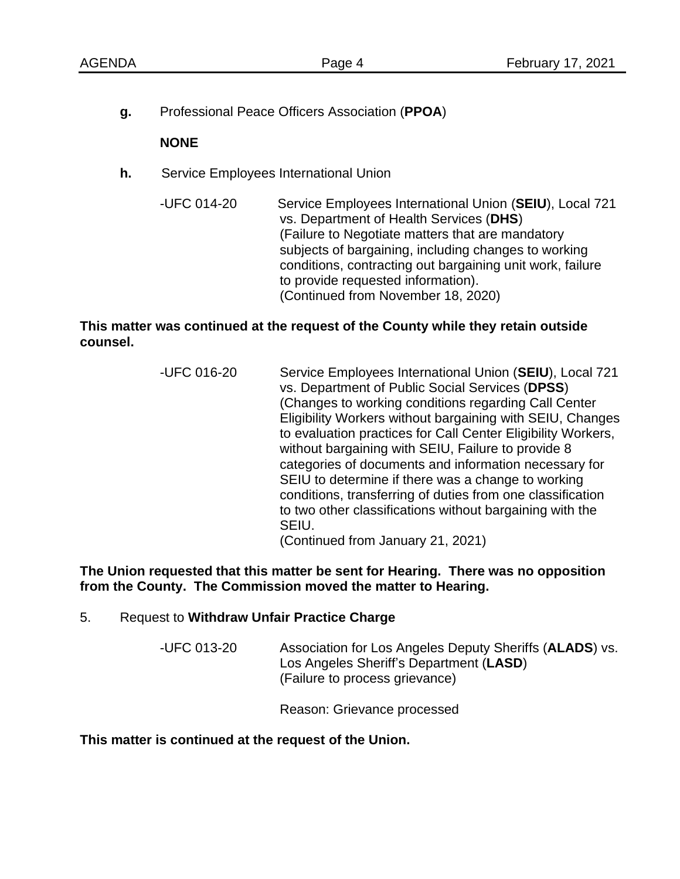**g.** Professional Peace Officers Association (**PPOA**)

### **NONE**

- **h.** Service Employees International Union
	- -UFC 014-20 Service Employees International Union (**SEIU**), Local 721 vs. Department of Health Services (**DHS**) (Failure to Negotiate matters that are mandatory subjects of bargaining, including changes to working conditions, contracting out bargaining unit work, failure to provide requested information). (Continued from November 18, 2020)

### **This matter was continued at the request of the County while they retain outside counsel.**

-UFC 016-20 Service Employees International Union (**SEIU**), Local 721 vs. Department of Public Social Services (**DPSS**) (Changes to working conditions regarding Call Center Eligibility Workers without bargaining with SEIU, Changes to evaluation practices for Call Center Eligibility Workers, without bargaining with SEIU, Failure to provide 8 categories of documents and information necessary for SEIU to determine if there was a change to working conditions, transferring of duties from one classification to two other classifications without bargaining with the SEIU. (Continued from January 21, 2021)

**The Union requested that this matter be sent for Hearing. There was no opposition from the County. The Commission moved the matter to Hearing.** 

### 5. Request to **Withdraw Unfair Practice Charge**

-UFC 013-20 Association for Los Angeles Deputy Sheriffs (**ALADS**) vs. Los Angeles Sheriff's Department (**LASD**) (Failure to process grievance)

Reason: Grievance processed

**This matter is continued at the request of the Union.**